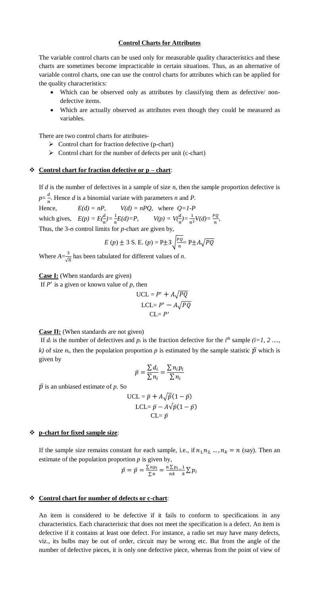# **Control Charts for Attributes**

The variable control charts can be used only for measurable quality characteristics and these charts are sometimes become impracticable in certain situations. Thus, as an alternative of variable control charts, one can use the control charts for attributes which can be applied for the quality characteristics:

- Which can be observed only as attributes by classifying them as defective/ nondefective items.
- Which are actually observed as attributes even though they could be measured as variables.

There are two control charts for attributes-

- $\triangleright$  Control chart for fraction defective (p-chart)
- $\triangleright$  Control chart for the number of defects per unit (c-chart)

## **Control chart for fraction defective or p – chart**:

If *d* is the number of defectives in a sample of size *n*, then the sample proportion defective is  $p=\frac{d}{p}$  $\frac{a}{n}$ . Hence *d* is a binomial variate with parameters *n* and *P*.

Hence,  $E(d) = nP$ ,  $V(d) = nPQ$ , where  $Q = 1-P$ which gives,  $E(p) = E(\frac{d}{n}) = \frac{1}{n}E(d) = P$ ,  $V(p) = V(\frac{d}{n}) = \frac{1}{n^2}V(d) = \frac{PQ}{n}$ , Thus, the 3-σ control limits for *p*-chart are given by,

E (p) 
$$
\pm
$$
 3 S. E. (p) = P $\pm$ 3 $\sqrt{\frac{PQ}{n}}$ = P $\pm$ A $\sqrt{PQ}$ 

Where  $A=\frac{3}{4}$  $\frac{3}{\sqrt{n}}$  has been tabulated for different values of *n*.

**Case I:** (When standards are given)

If  $P'$  is a given or known value of  $p$ , then

$$
UCL = P' + A\sqrt{PQ}
$$

$$
LCL = P' - A\sqrt{PQ}
$$

$$
CL = P'
$$

## **Case II:** (When standards are not given)

If  $d_i$  is the number of defectives and  $p_i$  is the fraction defective for the  $i^{th}$  sample  $(i=1, 2, \ldots, n)$ *k)* of size  $n_i$ , then the population proportion p is estimated by the sample statistic  $\bar{p}$  which is given by

$$
\bar{p} = \frac{\sum d_i}{\sum n_i} = \frac{\sum n_i p_i}{\sum n_i}
$$

 $\bar{p}$  is an unbiased estimate of  $p$ . So

$$
\text{UCL} = \bar{p} + A\sqrt{\bar{p}}(1 - \bar{p})
$$
\n
$$
\text{LCL} = \bar{p} - A\sqrt{\bar{p}}(1 - \bar{p})
$$
\n
$$
\text{CL} = \bar{p}
$$

# **p-chart for fixed sample size**:

If the sample size remains constant for each sample, i.e., if  $n_1, n_2, ..., n_k = n$  (say). Then an estimate of the population proportion  $p$  is given by,

$$
\hat{p} = \bar{p} = \frac{\sum n p_i}{\sum n} = \frac{n \sum p_i}{nk} = \frac{1}{k} \sum p_i
$$

#### **Control chart for number of defects or c-chart**:

An item is considered to be defective if it fails to conform to specifications in any characteristics. Each characteristic that does not meet the specification is a defect. An item is defective if it contains at least one defect. For instance, a radio set may have many defects, viz., its bulbs may be out of order, circuit may be wrong etc. But from the angle of the number of defective pieces, it is only one defective piece, whereas from the point of view of